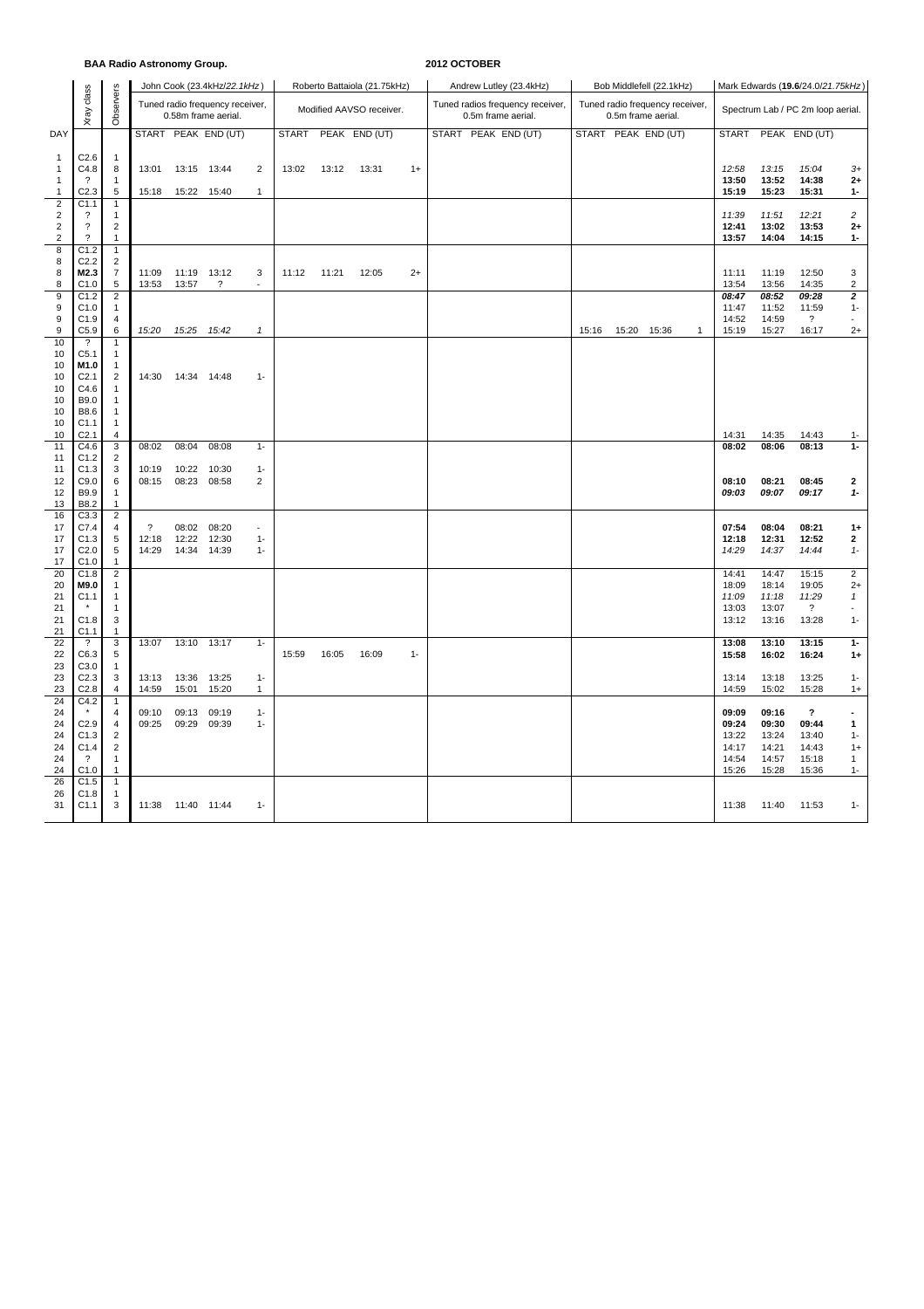|                                    |                                      |                                  |                          |                     | John Cook (23.4kHz/22.1kHz)                            |                |       |       | Roberto Battaiola (21.75kHz) |       | Andrew Lutley (23.4kHz)                                | Bob Middlefell (22.1kHz)                              | Mark Edwards (19.6/24.0/21.75kHz) |                |                           |                         |  |
|------------------------------------|--------------------------------------|----------------------------------|--------------------------|---------------------|--------------------------------------------------------|----------------|-------|-------|------------------------------|-------|--------------------------------------------------------|-------------------------------------------------------|-----------------------------------|----------------|---------------------------|-------------------------|--|
|                                    | class<br>Xray                        | Observers                        |                          |                     | Tuned radio frequency receiver,<br>0.58m frame aerial. |                |       |       | Modified AAVSO receiver.     |       | Tuned radios frequency receiver,<br>0.5m frame aerial. | Tuned radio frequency receiver,<br>0.5m frame aerial. | Spectrum Lab / PC 2m loop aerial. |                |                           |                         |  |
| DAY                                |                                      |                                  |                          |                     | START PEAK END (UT)                                    |                |       |       | START PEAK END (UT)          |       | START PEAK END (UT)                                    | START PEAK END (UT)                                   |                                   |                | START PEAK END (UT)       |                         |  |
| $\overline{1}$                     | C2.6                                 | $\overline{1}$                   |                          |                     |                                                        |                |       |       |                              |       |                                                        |                                                       |                                   |                |                           |                         |  |
| $\mathbf{1}$<br>$\mathbf{1}$       | C4.8<br>?                            | 8<br>$\mathbf{1}$                | 13:01                    | 13:15 13:44         |                                                        | 2              | 13:02 | 13:12 | 13:31                        | $1+$  |                                                        |                                                       | 12:58<br>13:50                    | 13:15<br>13:52 | 15:04<br>14:38            | $3+$                    |  |
| $\mathbf{1}$                       | C <sub>2.3</sub>                     | $\sqrt{5}$                       | 15:18                    |                     | 15:22 15:40                                            | $\mathbf{1}$   |       |       |                              |       |                                                        |                                                       | 15:19                             | 15:23          | 15:31                     | $2+$<br>$1-$            |  |
| $\overline{\mathbf{c}}$            | C1.1                                 | $\mathbf{1}$                     |                          |                     |                                                        |                |       |       |                              |       |                                                        |                                                       |                                   |                |                           |                         |  |
| $\overline{c}$                     | ?                                    | $\mathbf{1}$                     |                          |                     |                                                        |                |       |       |                              |       |                                                        |                                                       | 11:39                             | 11:51          | 12:21                     | $\overline{c}$          |  |
| $\overline{c}$<br>$\boldsymbol{2}$ | $\overline{\phantom{a}}$<br>$\gamma$ | $\overline{2}$<br>$\overline{1}$ |                          |                     |                                                        |                |       |       |                              |       |                                                        |                                                       | 12:41<br>13:57                    | 13:02<br>14:04 | 13:53<br>14:15            | $2+$<br>$1 -$           |  |
| 8                                  | C1.2                                 | $\mathbf{1}$                     |                          |                     |                                                        |                |       |       |                              |       |                                                        |                                                       |                                   |                |                           |                         |  |
| 8                                  | C <sub>2.2</sub>                     | $\overline{c}$                   |                          |                     |                                                        |                |       |       |                              |       |                                                        |                                                       |                                   |                |                           |                         |  |
| 8                                  | M2.3                                 | $\overline{7}$                   | 11:09                    | 11:19               | 13:12                                                  | 3              | 11:12 | 11:21 | 12:05                        | $2+$  |                                                        |                                                       | 11:11                             | 11:19          | 12:50                     | 3                       |  |
| 8<br>9                             | C1.0<br>C1.2                         | 5<br>$\overline{c}$              | 13:53                    | 13:57               | $\overline{\mathcal{E}}$                               |                |       |       |                              |       |                                                        |                                                       | 13:54<br>08:47                    | 13:56<br>08:52 | 14:35<br>09:28            | 2<br>$\boldsymbol{2}$   |  |
| 9                                  | C1.0                                 | $\mathbf{1}$                     |                          |                     |                                                        |                |       |       |                              |       |                                                        |                                                       | 11:47                             | 11:52          | 11:59                     | $1 -$                   |  |
| 9                                  | C1.9                                 | 4                                |                          |                     |                                                        |                |       |       |                              |       |                                                        |                                                       | 14:52                             | 14:59          | $\overline{?}$            | $\sim$                  |  |
| 9                                  | C5.9                                 | 6                                | 15:20                    |                     | 15:25  15:42                                           | 1              |       |       |                              |       |                                                        | 15:16  15:20  15:36<br>$\mathbf{1}$                   | 15:19                             | 15:27          | 16:17                     | $2+$                    |  |
| 10<br>10                           | $\cdot$<br>C5.1                      | $\mathbf{1}$<br>$\overline{1}$   |                          |                     |                                                        |                |       |       |                              |       |                                                        |                                                       |                                   |                |                           |                         |  |
| 10                                 | M1.0                                 | $\overline{1}$                   |                          |                     |                                                        |                |       |       |                              |       |                                                        |                                                       |                                   |                |                           |                         |  |
| 10                                 | C <sub>2.1</sub>                     | $\overline{2}$                   | 14:30                    | 14:34               | 14:48                                                  | $1 -$          |       |       |                              |       |                                                        |                                                       |                                   |                |                           |                         |  |
| 10                                 | C4.6                                 | $\mathbf{1}$                     |                          |                     |                                                        |                |       |       |                              |       |                                                        |                                                       |                                   |                |                           |                         |  |
| 10<br>10                           | B9.0<br>B8.6                         | $\overline{1}$<br>$\mathbf{1}$   |                          |                     |                                                        |                |       |       |                              |       |                                                        |                                                       |                                   |                |                           |                         |  |
| 10                                 | C1.1                                 | $\mathbf{1}$                     |                          |                     |                                                        |                |       |       |                              |       |                                                        |                                                       |                                   |                |                           |                         |  |
| 10                                 | C <sub>2.1</sub>                     | $\overline{4}$                   |                          |                     |                                                        |                |       |       |                              |       |                                                        |                                                       | 14:31                             | 14:35          | 14:43                     | $1 -$                   |  |
| 11                                 | C4.6                                 | 3                                | 08:02                    | 08:04               | 08:08                                                  | $1 -$          |       |       |                              |       |                                                        |                                                       | 08:02                             | 08:06          | 08:13                     | $1 -$                   |  |
| 11<br>11                           | C1.2<br>C1.3                         | 2<br>3                           | 10:19                    | 10:22               | 10:30                                                  | $1 -$          |       |       |                              |       |                                                        |                                                       |                                   |                |                           |                         |  |
| 12                                 | C9.0                                 | 6                                | 08:15                    | 08:23               | 08:58                                                  | $\overline{2}$ |       |       |                              |       |                                                        |                                                       | 08:10                             | 08:21          | 08:45                     | $\overline{\mathbf{2}}$ |  |
| 12                                 | B9.9                                 | $\mathbf{1}$                     |                          |                     |                                                        |                |       |       |                              |       |                                                        |                                                       | 09:03                             | 09:07          | 09:17                     | $1 -$                   |  |
| 13                                 | B8.2                                 | 1                                |                          |                     |                                                        |                |       |       |                              |       |                                                        |                                                       |                                   |                |                           |                         |  |
| 16<br>17                           | C3.3<br>C7.4                         | $\overline{c}$<br>4              | $\overline{\mathcal{E}}$ | 08:02               | 08:20                                                  | $\sim$         |       |       |                              |       |                                                        |                                                       | 07:54                             | 08:04          | 08:21                     | $1+$                    |  |
| 17                                 | C1.3                                 | 5                                | 12:18                    | 12:22               | 12:30                                                  | $1 -$          |       |       |                              |       |                                                        |                                                       | 12:18                             | 12:31          | 12:52                     | $\mathbf{2}$            |  |
| 17                                 | C <sub>2.0</sub>                     | $\sqrt{5}$                       | 14:29                    | 14:34               | 14:39                                                  | $1 -$          |       |       |                              |       |                                                        |                                                       | 14:29                             | 14:37          | 14:44                     | $1 -$                   |  |
| 17<br>20                           | C1.0<br>C1.8                         | $\mathbf{1}$<br>$\overline{2}$   |                          |                     |                                                        |                |       |       |                              |       |                                                        |                                                       | 14:41                             | 14:47          | 15:15                     | $\overline{2}$          |  |
| 20                                 | M9.0                                 | $\mathbf{1}$                     |                          |                     |                                                        |                |       |       |                              |       |                                                        |                                                       | 18:09                             | 18:14          | 19:05                     | $2+$                    |  |
| 21                                 | C1.1                                 | $\mathbf{1}$                     |                          |                     |                                                        |                |       |       |                              |       |                                                        |                                                       | 11:09                             | 11:18          | 11:29                     | $\mathbf{1}$            |  |
| 21                                 |                                      | $\mathbf{1}$                     |                          |                     |                                                        |                |       |       |                              |       |                                                        |                                                       | 13:03                             | 13:07          | $\overline{?}$            |                         |  |
| 21<br>21                           | C1.8<br>C1.1                         | 3<br>$\mathbf{1}$                |                          |                     |                                                        |                |       |       |                              |       |                                                        |                                                       | 13:12                             | 13:16          | 13:28                     | $1 -$                   |  |
| 22                                 | $\ddot{\phantom{0}}$                 | $\mathbf{3}$                     | 13:07                    |                     | 13:10 13:17                                            | $1 -$          |       |       |                              |       |                                                        |                                                       | 13:08                             | 13:10          | 13:15                     | $1 -$                   |  |
| 22                                 | C6.3                                 | 5                                |                          |                     |                                                        |                | 15:59 | 16:05 | 16:09                        | $1 -$ |                                                        |                                                       | 15:58                             | 16:02          | 16:24                     | $1+$                    |  |
| 23                                 | C3.0                                 | $\mathbf{1}$                     |                          |                     |                                                        |                |       |       |                              |       |                                                        |                                                       |                                   |                |                           |                         |  |
| 23<br>23                           | C <sub>2.3</sub><br>C2.8             | 3<br>$\overline{4}$              | 13:13                    | 13:36               | 13:25                                                  | $1 -$          |       |       |                              |       |                                                        |                                                       | 13:14                             | 13:18          | 13:25                     | $1 -$                   |  |
| 24                                 | C4.2                                 | $\overline{1}$                   | 14:59                    | 15:01               | 15:20                                                  | $\mathbf{1}$   |       |       |                              |       |                                                        |                                                       | 14:59                             | 15:02          | 15:28                     | $1+$                    |  |
| 24                                 |                                      | 4                                | 09:10                    | 09:13               | 09:19                                                  | $1 -$          |       |       |                              |       |                                                        |                                                       | 09:09                             | 09:16          | $\boldsymbol{\mathsf{?}}$ |                         |  |
| 24                                 | C2.9                                 | 4                                | 09:25                    |                     | 09:29 09:39                                            | $1 -$          |       |       |                              |       |                                                        |                                                       | 09:24                             | 09:30          | 09:44                     | $\mathbf{1}$            |  |
| 24                                 | C1.3<br>C1.4                         | $\overline{2}$<br>$\overline{2}$ |                          |                     |                                                        |                |       |       |                              |       |                                                        |                                                       | 13:22                             | 13:24          | 13:40                     | $1 -$                   |  |
| 24<br>24                           | $\overline{\mathcal{E}}$             | $\mathbf{1}$                     |                          |                     |                                                        |                |       |       |                              |       |                                                        |                                                       | 14:17<br>14:54                    | 14:21<br>14:57 | 14:43<br>15:18            | $1+$<br>$\mathbf{1}$    |  |
| 24                                 | C1.0                                 | $\mathbf{1}$                     |                          |                     |                                                        |                |       |       |                              |       |                                                        |                                                       | 15:26                             | 15:28          | 15:36                     | $1 -$                   |  |
| 26                                 | C1.5                                 | $\mathbf{1}$                     |                          |                     |                                                        |                |       |       |                              |       |                                                        |                                                       |                                   |                |                           |                         |  |
| 26<br>31                           | C1.8                                 | $\mathbf{1}$<br>3                |                          |                     |                                                        |                |       |       |                              |       |                                                        |                                                       |                                   |                |                           |                         |  |
|                                    | C1.1                                 |                                  |                          | 11:38  11:40  11:44 |                                                        | $1 -$          |       |       |                              |       |                                                        |                                                       | 11:38                             | 11:40          | 11:53                     | $1 -$                   |  |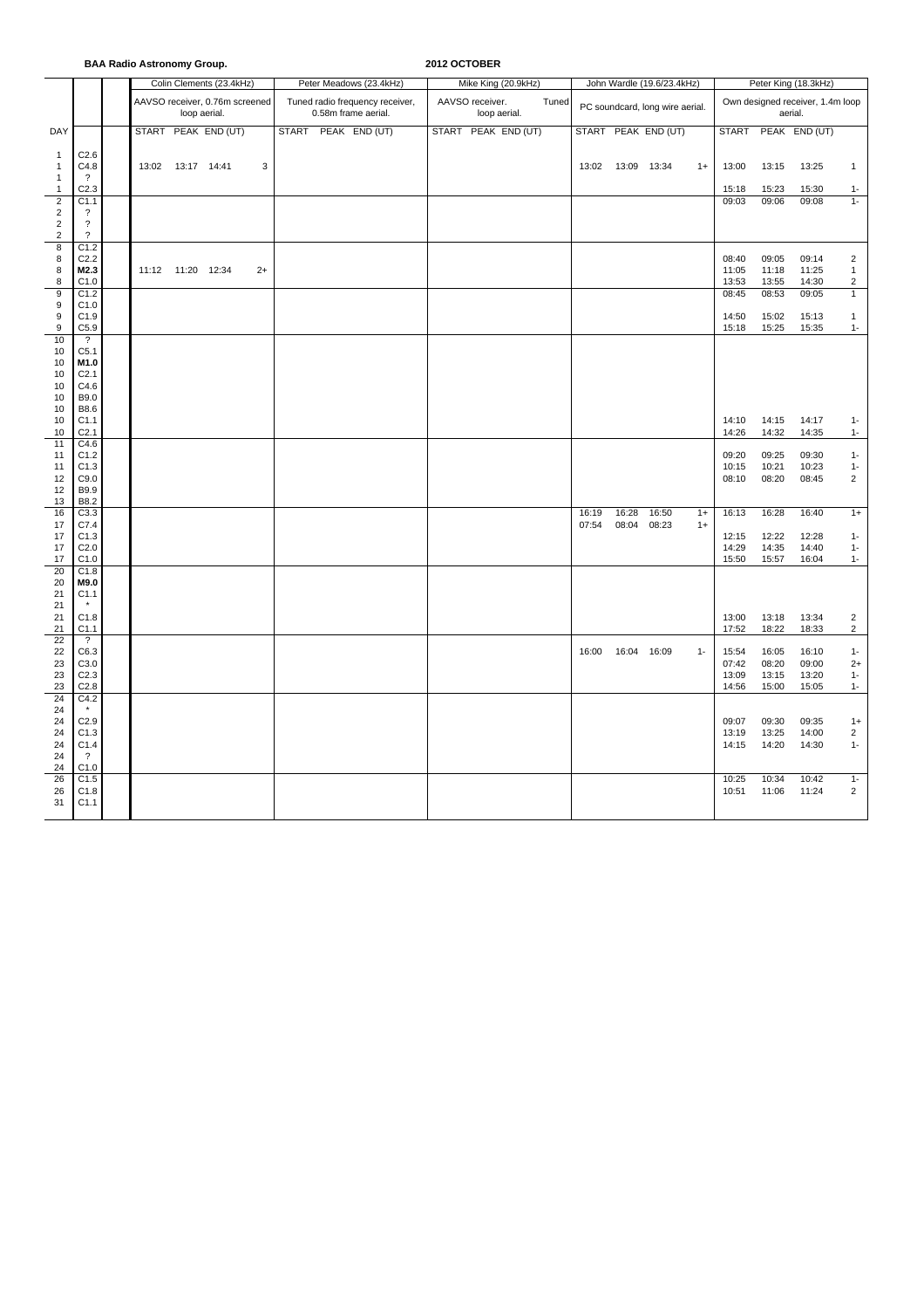|                                              |                                                                          |                     |              | Colin Clements (23.4kHz)       |      |                                                        |  | Peter Meadows (23.4kHz) |  |  | Mike King (20.9kHz)             |       |                |                     | John Wardle (19.6/23.4kHz)      |              | Peter King (18.3kHz)    |                         |                                  |                                  |  |
|----------------------------------------------|--------------------------------------------------------------------------|---------------------|--------------|--------------------------------|------|--------------------------------------------------------|--|-------------------------|--|--|---------------------------------|-------|----------------|---------------------|---------------------------------|--------------|-------------------------|-------------------------|----------------------------------|----------------------------------|--|
|                                              |                                                                          |                     | loop aerial. | AAVSO receiver, 0.76m screened |      | Tuned radio frequency receiver,<br>0.58m frame aerial. |  |                         |  |  | AAVSO receiver.<br>loop aerial. | Tuned |                |                     | PC soundcard, long wire aerial. |              |                         | aerial.                 | Own designed receiver, 1.4m loop |                                  |  |
| DAY                                          |                                                                          |                     |              | START PEAK END (UT)            |      |                                                        |  | START PEAK END (UT)     |  |  | START PEAK END (UT)             |       |                |                     | START PEAK END (UT)             |              | <b>START</b>            |                         | PEAK END (UT)                    |                                  |  |
| $\mathbf{1}$<br>$\mathbf{1}$<br>$\mathbf{1}$ | C2.6<br>C4.8<br>?                                                        | 13:02  13:17  14:41 |              |                                | 3    |                                                        |  |                         |  |  |                                 |       |                | 13:02  13:09  13:34 |                                 | $1+$         | 13:00                   | 13:15                   | 13:25                            | $\mathbf{1}$                     |  |
| $\mathbf{1}$<br>$\overline{2}$               | C <sub>2.3</sub><br>C1.1                                                 |                     |              |                                |      |                                                        |  |                         |  |  |                                 |       |                |                     |                                 |              | 15:18<br>09:03          | 15:23<br>09:06          | 15:30<br>09:08                   | $1 -$<br>$1 -$                   |  |
| $\overline{c}$<br>$\overline{2}$<br>2        | $\boldsymbol{\mathcal{P}}$<br>$\overline{?}$<br>$\overline{\phantom{a}}$ |                     |              |                                |      |                                                        |  |                         |  |  |                                 |       |                |                     |                                 |              |                         |                         |                                  |                                  |  |
| 8<br>8<br>8<br>8                             | C1.2<br>C2.2<br>M2.3<br>C1.0                                             | 11:12  11:20  12:34 |              |                                | $2+$ |                                                        |  |                         |  |  |                                 |       |                |                     |                                 |              | 08:40<br>11:05<br>13:53 | 09:05<br>11:18<br>13:55 | 09:14<br>11:25<br>14:30          | $\overline{2}$<br>1<br>2         |  |
| 9<br>9                                       | C1.2<br>C1.0                                                             |                     |              |                                |      |                                                        |  |                         |  |  |                                 |       |                |                     |                                 |              | 08:45                   | 08:53                   | 09:05                            | $\mathbf{1}$                     |  |
| 9<br>9                                       | C1.9<br>C5.9                                                             |                     |              |                                |      |                                                        |  |                         |  |  |                                 |       |                |                     |                                 |              | 14:50<br>15:18          | 15:02<br>15:25          | 15:13<br>15:35                   | $\mathbf{1}$<br>$1 -$            |  |
| 10<br>10<br>10                               | $\overline{\cdot}$<br>C <sub>5.1</sub><br>M1.0                           |                     |              |                                |      |                                                        |  |                         |  |  |                                 |       |                |                     |                                 |              |                         |                         |                                  |                                  |  |
| 10<br>10<br>10<br>10                         | C <sub>2.1</sub><br>C4.6<br>B9.0<br>B8.6                                 |                     |              |                                |      |                                                        |  |                         |  |  |                                 |       |                |                     |                                 |              |                         |                         |                                  |                                  |  |
| 10<br>10                                     | C <sub>1.1</sub><br>C <sub>2.1</sub>                                     |                     |              |                                |      |                                                        |  |                         |  |  |                                 |       |                |                     |                                 |              | 14:10<br>14:26          | 14:15<br>14:32          | 14:17<br>14:35                   | $1 -$<br>$1 -$                   |  |
| 11<br>11                                     | C4.6<br>C1.2                                                             |                     |              |                                |      |                                                        |  |                         |  |  |                                 |       |                |                     |                                 |              | 09:20                   | 09:25                   | 09:30                            | $1 -$                            |  |
| 11                                           | C1.3                                                                     |                     |              |                                |      |                                                        |  |                         |  |  |                                 |       |                |                     |                                 |              | 10:15                   | 10:21                   | 10:23                            | $1 -$                            |  |
| 12<br>12<br>13                               | C9.0<br>B9.9<br>B8.2                                                     |                     |              |                                |      |                                                        |  |                         |  |  |                                 |       |                |                     |                                 |              | 08:10                   | 08:20                   | 08:45                            | 2                                |  |
| 16<br>17                                     | C3.3<br>C7.4                                                             |                     |              |                                |      |                                                        |  |                         |  |  |                                 |       | 16:19<br>07:54 | 16:28               | 16:50<br>08:04 08:23            | $1+$<br>$1+$ | 16:13                   | 16:28                   | 16:40                            | $1+$                             |  |
| 17<br>17                                     | C1.3<br>C <sub>2.0</sub>                                                 |                     |              |                                |      |                                                        |  |                         |  |  |                                 |       |                |                     |                                 |              | 12:15<br>14:29          | 12:22<br>14:35          | 12:28<br>14:40                   | $1 -$<br>$1 -$                   |  |
| 17<br>20<br>20<br>21                         | C1.0<br>C1.8<br>M9.0<br>C1.1                                             |                     |              |                                |      |                                                        |  |                         |  |  |                                 |       |                |                     |                                 |              | 15:50                   | 15:57                   | 16:04                            | $1 -$                            |  |
| 21<br>21<br>21                               | C1.8<br>C1.1                                                             |                     |              |                                |      |                                                        |  |                         |  |  |                                 |       |                |                     |                                 |              | 13:00<br>17:52          | 13:18<br>18:22          | 13:34<br>18:33                   | $\overline{2}$<br>$\overline{2}$ |  |
| 22<br>22<br>23<br>23                         | $\overline{?}$<br>C6.3<br>C3.0<br>C2.3                                   |                     |              |                                |      |                                                        |  |                         |  |  |                                 |       | 16:00          | 16:04 16:09         |                                 | $1 -$        | 15:54<br>07:42<br>13:09 | 16:05<br>08:20<br>13:15 | 16:10<br>09:00<br>13:20          | $1 -$<br>$2+$<br>$1 -$           |  |
| 23<br>24                                     | C2.8<br>C4.2                                                             |                     |              |                                |      |                                                        |  |                         |  |  |                                 |       |                |                     |                                 |              | 14:56                   | 15:00                   | 15:05                            | $1 -$                            |  |
| 24<br>24<br>24<br>24<br>24<br>24             | C <sub>2.9</sub><br>C1.3<br>C1.4<br>$\overline{\mathcal{E}}$<br>C1.0     |                     |              |                                |      |                                                        |  |                         |  |  |                                 |       |                |                     |                                 |              | 09:07<br>13:19<br>14:15 | 09:30<br>13:25<br>14:20 | 09:35<br>14:00<br>14:30          | $1+$<br>$\overline{2}$<br>$1 -$  |  |
| 26<br>26<br>31                               | C1.5<br>C1.8<br>C1.1                                                     |                     |              |                                |      |                                                        |  |                         |  |  |                                 |       |                |                     |                                 |              | 10:25<br>10:51          | 10:34<br>11:06          | 10:42<br>11:24                   | $1 -$<br>$\overline{2}$          |  |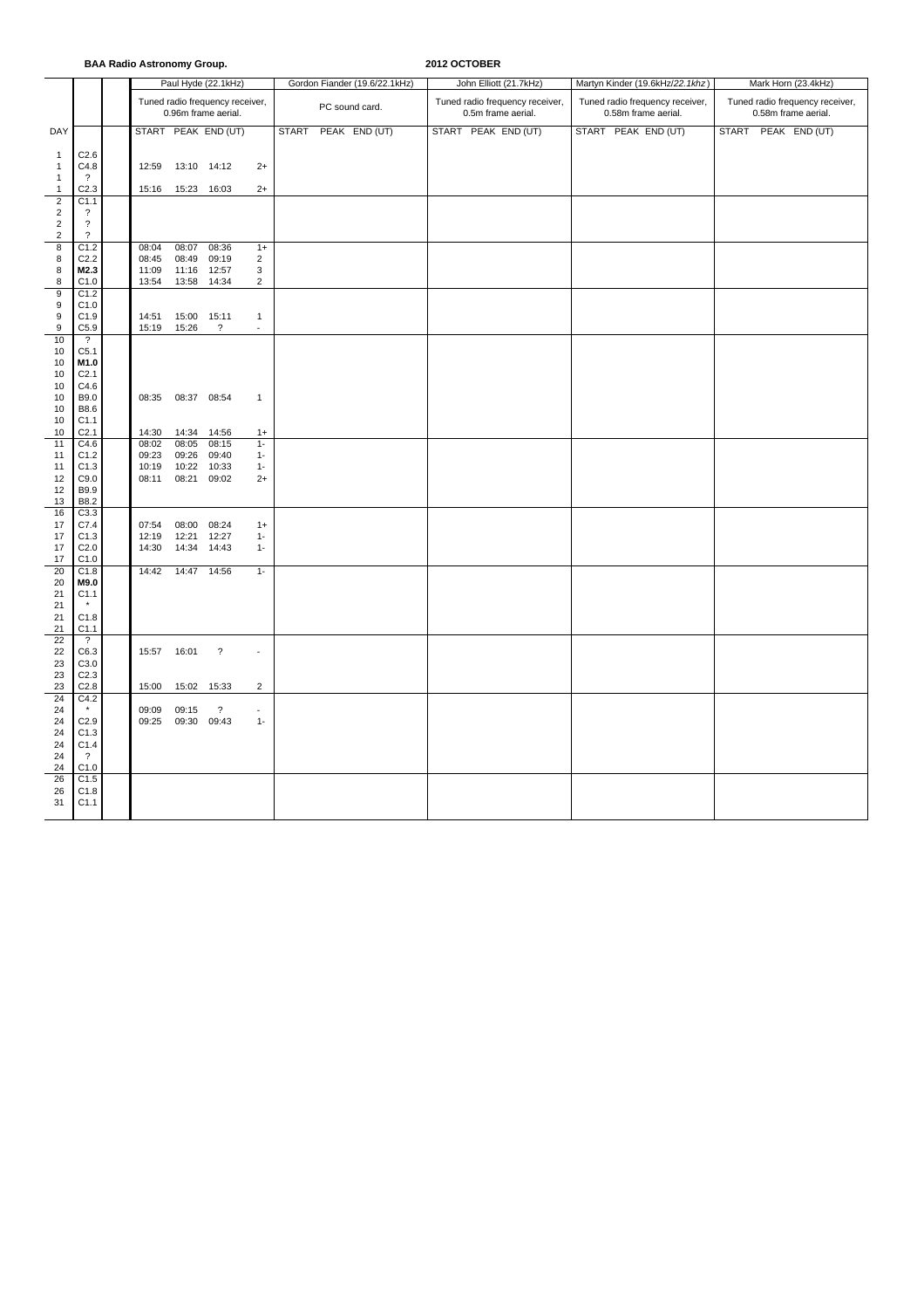|  |  | <b>BAA Radio Astronomy Group.</b> |  |
|--|--|-----------------------------------|--|
|--|--|-----------------------------------|--|

|                                                          |                                                                              |                |                      | Paul Hyde (22.1kHz)                                    |                         | Gordon Fiander (19.6/22.1kHz) | John Elliott (21.7kHz)                                | Martyn Kinder (19.6kHz/22.1khz)<br>Mark Horn (23.4kHz) |                                                        |  |                     |  |                                                        |  |
|----------------------------------------------------------|------------------------------------------------------------------------------|----------------|----------------------|--------------------------------------------------------|-------------------------|-------------------------------|-------------------------------------------------------|--------------------------------------------------------|--------------------------------------------------------|--|---------------------|--|--------------------------------------------------------|--|
|                                                          |                                                                              |                |                      | Tuned radio frequency receiver,<br>0.96m frame aerial. |                         | PC sound card.                | Tuned radio frequency receiver,<br>0.5m frame aerial. |                                                        | Tuned radio frequency receiver,<br>0.58m frame aerial. |  |                     |  | Tuned radio frequency receiver,<br>0.58m frame aerial. |  |
| DAY                                                      |                                                                              |                |                      | START PEAK END (UT)                                    |                         | START PEAK END (UT)           | START PEAK END (UT)                                   |                                                        | START PEAK END (UT)                                    |  | START PEAK END (UT) |  |                                                        |  |
| $\mathbf{1}$<br>$\mathbf{1}$<br>$\mathbf{1}$             | C2.6<br>C4.8<br>$\cdot$                                                      | 12:59          | 13:10 14:12          |                                                        | $2+$                    |                               |                                                       |                                                        |                                                        |  |                     |  |                                                        |  |
| $\mathbf{1}$                                             | C <sub>2.3</sub>                                                             |                | 15:16  15:23  16:03  |                                                        | $2+$                    |                               |                                                       |                                                        |                                                        |  |                     |  |                                                        |  |
| $\overline{2}$<br>$\sqrt{2}$<br>$\sqrt{2}$<br>$\sqrt{2}$ | C1.1<br>$\overline{\cdot}$<br>$\overline{\cdot}$<br>$\overline{\mathcal{L}}$ |                |                      |                                                        |                         |                               |                                                       |                                                        |                                                        |  |                     |  |                                                        |  |
| 8<br>$\bf8$                                              | C1.2                                                                         | 08:04<br>08:45 | 08:07                | 08:36                                                  | $1+$<br>$\overline{2}$  |                               |                                                       |                                                        |                                                        |  |                     |  |                                                        |  |
|                                                          | C <sub>2.2</sub><br>M2.3                                                     | 11:09          | 08:49<br>11:16 12:57 | 09:19                                                  | 3                       |                               |                                                       |                                                        |                                                        |  |                     |  |                                                        |  |
| $\begin{array}{c} 8 \\ 8 \end{array}$                    | C1.0                                                                         | 13:54          | 13:58 14:34          |                                                        | $\overline{2}$          |                               |                                                       |                                                        |                                                        |  |                     |  |                                                        |  |
| $\overline{9}$<br>$\boldsymbol{9}$                       | C1.2<br>C1.0                                                                 |                |                      |                                                        |                         |                               |                                                       |                                                        |                                                        |  |                     |  |                                                        |  |
| 9                                                        | C1.9                                                                         | 14:51          | 15:00 15:11          |                                                        | $\mathbf{1}$            |                               |                                                       |                                                        |                                                        |  |                     |  |                                                        |  |
| $\boldsymbol{9}$<br>10                                   | C5.9<br>$\cdot$                                                              | 15:19          | 15:26                | $\overline{\cdot}$                                     | $\blacksquare$          |                               |                                                       |                                                        |                                                        |  |                     |  |                                                        |  |
| 10                                                       | C <sub>5.1</sub>                                                             |                |                      |                                                        |                         |                               |                                                       |                                                        |                                                        |  |                     |  |                                                        |  |
| 10<br>10                                                 | M1.0<br>C <sub>2.1</sub>                                                     |                |                      |                                                        |                         |                               |                                                       |                                                        |                                                        |  |                     |  |                                                        |  |
| 10                                                       | C4.6                                                                         |                |                      |                                                        |                         |                               |                                                       |                                                        |                                                        |  |                     |  |                                                        |  |
| 10                                                       | B9.0                                                                         | 08:35          | 08:37                | 08:54                                                  | $\mathbf{1}$            |                               |                                                       |                                                        |                                                        |  |                     |  |                                                        |  |
| 10<br>10                                                 | B8.6<br>C1.1                                                                 |                |                      |                                                        |                         |                               |                                                       |                                                        |                                                        |  |                     |  |                                                        |  |
| 10                                                       | C <sub>2.1</sub>                                                             | 14:30          | 14:34                | 14:56                                                  | $1+$                    |                               |                                                       |                                                        |                                                        |  |                     |  |                                                        |  |
| 11<br>11                                                 | C4.6<br>C1.2                                                                 | 08:02<br>09:23 | 08:05<br>09:26       | 08:15<br>09:40                                         | $1 -$<br>$1 -$          |                               |                                                       |                                                        |                                                        |  |                     |  |                                                        |  |
| 11                                                       | C1.3                                                                         | 10:19          | 10:22                | 10:33                                                  | $1 -$                   |                               |                                                       |                                                        |                                                        |  |                     |  |                                                        |  |
| 12<br>12                                                 | C9.0<br>B9.9                                                                 | 08:11          | 08:21                | 09:02                                                  | $2+$                    |                               |                                                       |                                                        |                                                        |  |                     |  |                                                        |  |
| 13                                                       | B8.2                                                                         |                |                      |                                                        |                         |                               |                                                       |                                                        |                                                        |  |                     |  |                                                        |  |
| 16<br>17                                                 | C3.3<br>C7.4                                                                 | 07:54          | 08:00 08:24          |                                                        |                         |                               |                                                       |                                                        |                                                        |  |                     |  |                                                        |  |
| 17                                                       | C1.3                                                                         | 12:19          | 12:21                | 12:27                                                  | $1+$<br>$1 -$           |                               |                                                       |                                                        |                                                        |  |                     |  |                                                        |  |
| 17                                                       | C <sub>2.0</sub>                                                             | 14:30          | 14:34                | 14:43                                                  | $1 -$                   |                               |                                                       |                                                        |                                                        |  |                     |  |                                                        |  |
| 17<br>20                                                 | C1.0<br>C1.8                                                                 | 14:42          | 14:47                | 14:56                                                  | $1 -$                   |                               |                                                       |                                                        |                                                        |  |                     |  |                                                        |  |
| 20                                                       | M9.0                                                                         |                |                      |                                                        |                         |                               |                                                       |                                                        |                                                        |  |                     |  |                                                        |  |
| 21<br>21                                                 | C1.1<br>$\star$                                                              |                |                      |                                                        |                         |                               |                                                       |                                                        |                                                        |  |                     |  |                                                        |  |
| 21                                                       | C1.8                                                                         |                |                      |                                                        |                         |                               |                                                       |                                                        |                                                        |  |                     |  |                                                        |  |
| 21<br>22                                                 | C1.1<br>$\overline{?}$                                                       |                |                      |                                                        |                         |                               |                                                       |                                                        |                                                        |  |                     |  |                                                        |  |
| 22                                                       | C6.3                                                                         | 15:57          | 16:01                | $\overline{\cdot}$                                     | $\blacksquare$          |                               |                                                       |                                                        |                                                        |  |                     |  |                                                        |  |
| 23<br>23                                                 | C3.0                                                                         |                |                      |                                                        |                         |                               |                                                       |                                                        |                                                        |  |                     |  |                                                        |  |
| 23                                                       | C <sub>2.3</sub><br>C2.8                                                     | 15:00          | 15:02                | 15:33                                                  | $\overline{2}$          |                               |                                                       |                                                        |                                                        |  |                     |  |                                                        |  |
| 24                                                       | C4.2<br>$\pmb{\star}$                                                        |                |                      |                                                        |                         |                               |                                                       |                                                        |                                                        |  |                     |  |                                                        |  |
| 24<br>24                                                 | C2.9                                                                         | 09:09<br>09:25 | 09:15<br>09:30 09:43 | $\overline{\cdot}$                                     | $\blacksquare$<br>$1 -$ |                               |                                                       |                                                        |                                                        |  |                     |  |                                                        |  |
| 24                                                       | C1.3                                                                         |                |                      |                                                        |                         |                               |                                                       |                                                        |                                                        |  |                     |  |                                                        |  |
| 24<br>24                                                 | C1.4<br>$\overline{?}$                                                       |                |                      |                                                        |                         |                               |                                                       |                                                        |                                                        |  |                     |  |                                                        |  |
| 24                                                       | C1.0                                                                         |                |                      |                                                        |                         |                               |                                                       |                                                        |                                                        |  |                     |  |                                                        |  |
| 26<br>26<br>31                                           | C1.5<br>C1.8<br>C1.1                                                         |                |                      |                                                        |                         |                               |                                                       |                                                        |                                                        |  |                     |  |                                                        |  |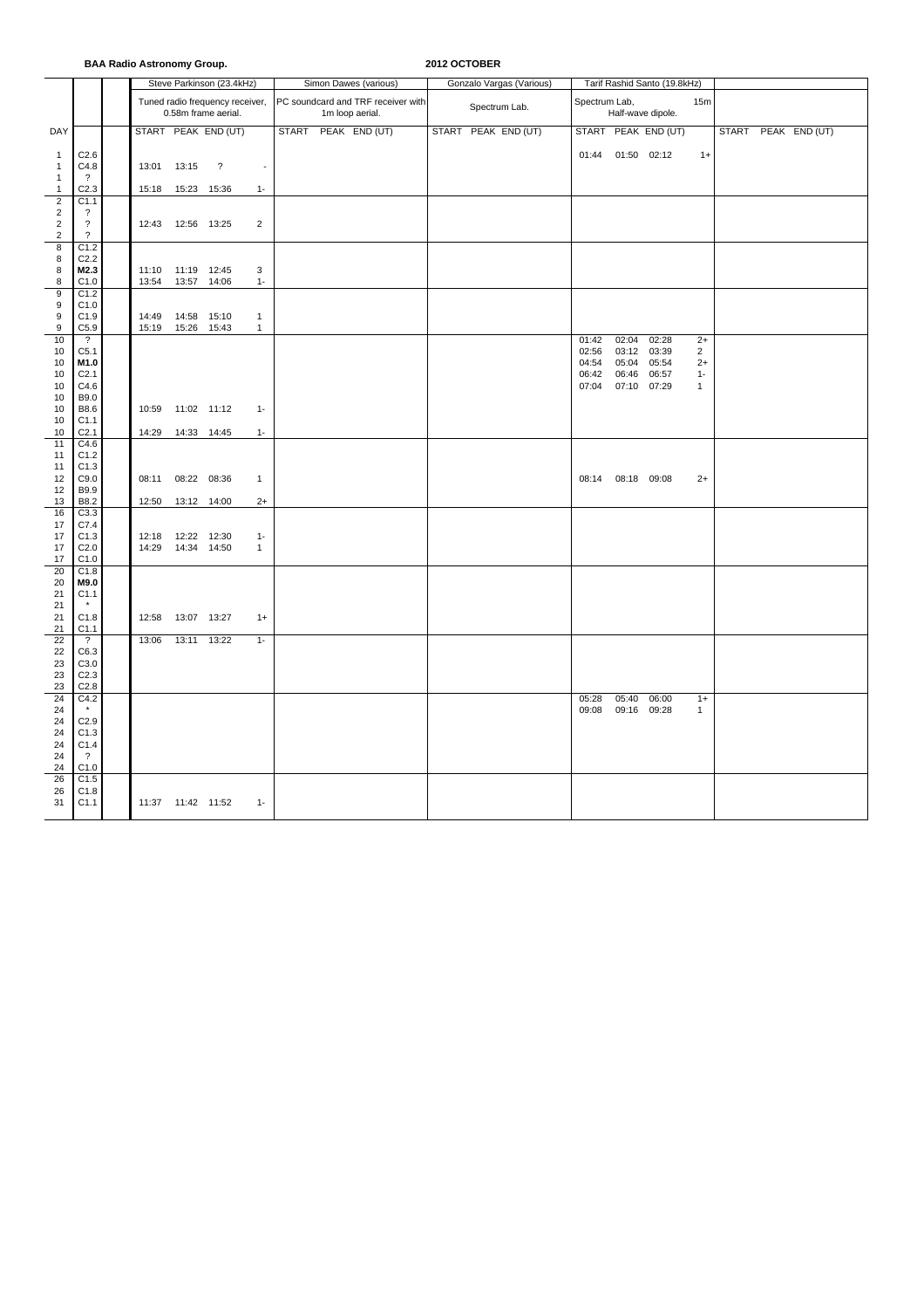|                            |                                      |       |                     | Steve Parkinson (23.4kHz)                              |                          |  | Simon Dawes (various) |                                    | Gonzalo Vargas (Various) |  |                |                   | Tarif Rashid Santo (19.8kHz) |                |  |                     |  |
|----------------------------|--------------------------------------|-------|---------------------|--------------------------------------------------------|--------------------------|--|-----------------------|------------------------------------|--------------------------|--|----------------|-------------------|------------------------------|----------------|--|---------------------|--|
|                            |                                      |       |                     | Tuned radio frequency receiver,<br>0.58m frame aerial. |                          |  | 1m loop aerial.       | PC soundcard and TRF receiver with | Spectrum Lab.            |  | Spectrum Lab,  |                   | Half-wave dipole.            | 15m            |  |                     |  |
| DAY                        |                                      |       |                     | START PEAK END (UT)                                    |                          |  | START PEAK END (UT)   |                                    | START PEAK END (UT)      |  |                |                   | START PEAK END (UT)          |                |  | START PEAK END (UT) |  |
| $\mathbf{1}$               | C2.6                                 |       |                     |                                                        |                          |  |                       |                                    |                          |  |                | 01:44 01:50 02:12 |                              | $1+$           |  |                     |  |
| $\mathbf{1}$               | C4.8                                 |       | 13:01  13:15        | $\overline{\mathbf{?}}$                                | $\overline{\phantom{a}}$ |  |                       |                                    |                          |  |                |                   |                              |                |  |                     |  |
| $\mathbf{1}$               | $\overline{\cdot}$                   |       |                     |                                                        |                          |  |                       |                                    |                          |  |                |                   |                              |                |  |                     |  |
| $\mathbf{1}$<br>$\sqrt{2}$ | C2.3<br>C1.1                         |       | 15:18  15:23  15:36 |                                                        | $1 -$                    |  |                       |                                    |                          |  |                |                   |                              |                |  |                     |  |
| $\overline{2}$             | $\overline{\cdot}$                   |       |                     |                                                        |                          |  |                       |                                    |                          |  |                |                   |                              |                |  |                     |  |
| $\overline{2}$             | $\overline{\mathcal{E}}$             |       | 12:43  12:56  13:25 |                                                        | $\overline{2}$           |  |                       |                                    |                          |  |                |                   |                              |                |  |                     |  |
| $\overline{c}$             | $\overline{\mathcal{L}}$             |       |                     |                                                        |                          |  |                       |                                    |                          |  |                |                   |                              |                |  |                     |  |
| 8<br>$\bf8$                | C1.2<br>C <sub>2.2</sub>             |       |                     |                                                        |                          |  |                       |                                    |                          |  |                |                   |                              |                |  |                     |  |
| 8                          | M2.3                                 |       | 11:10 11:19 12:45   |                                                        | 3                        |  |                       |                                    |                          |  |                |                   |                              |                |  |                     |  |
| 8                          | C1.0                                 | 13:54 | 13:57 14:06         |                                                        | $1 -$                    |  |                       |                                    |                          |  |                |                   |                              |                |  |                     |  |
| 9                          | C1.2                                 |       |                     |                                                        |                          |  |                       |                                    |                          |  |                |                   |                              |                |  |                     |  |
| 9<br>$\boldsymbol{9}$      | C1.0<br>C1.9                         | 14:49 | 14:58 15:10         |                                                        | $\mathbf{1}$             |  |                       |                                    |                          |  |                |                   |                              |                |  |                     |  |
| 9                          | C5.9                                 | 15:19 | 15:26 15:43         |                                                        | $\mathbf{1}$             |  |                       |                                    |                          |  |                |                   |                              |                |  |                     |  |
| 10                         | $\overline{?}$                       |       |                     |                                                        |                          |  |                       |                                    |                          |  | 01:42          | 02:04             | 02:28                        | $2+$           |  |                     |  |
| 10                         | C <sub>5.1</sub>                     |       |                     |                                                        |                          |  |                       |                                    |                          |  | 02:56          | 03:12             | 03:39                        | $\overline{2}$ |  |                     |  |
| 10<br>10                   | M1.0<br>C <sub>2.1</sub>             |       |                     |                                                        |                          |  |                       |                                    |                          |  | 04:54<br>06:42 | 05:04<br>06:46    | 05:54<br>06:57               | $2+$<br>$1 -$  |  |                     |  |
| 10                         | C4.6                                 |       |                     |                                                        |                          |  |                       |                                    |                          |  | 07:04          |                   | 07:10 07:29                  | $\mathbf{1}$   |  |                     |  |
| 10                         | B9.0                                 |       |                     |                                                        |                          |  |                       |                                    |                          |  |                |                   |                              |                |  |                     |  |
| 10                         | B8.6                                 |       | 10:59  11:02  11:12 |                                                        | $1 -$                    |  |                       |                                    |                          |  |                |                   |                              |                |  |                     |  |
| 10<br>10                   | C <sub>1.1</sub><br>C <sub>2.1</sub> | 14:29 | 14:33 14:45         |                                                        | $1 -$                    |  |                       |                                    |                          |  |                |                   |                              |                |  |                     |  |
| 11                         | C4.6                                 |       |                     |                                                        |                          |  |                       |                                    |                          |  |                |                   |                              |                |  |                     |  |
| 11                         | C1.2                                 |       |                     |                                                        |                          |  |                       |                                    |                          |  |                |                   |                              |                |  |                     |  |
| 11                         | C1.3                                 |       |                     |                                                        |                          |  |                       |                                    |                          |  |                |                   |                              |                |  |                     |  |
| 12<br>12                   | C9.0<br>B9.9                         | 08:11 | 08:22 08:36         |                                                        | $\mathbf{1}$             |  |                       |                                    |                          |  |                | 08:14 08:18 09:08 |                              | $2+$           |  |                     |  |
| 13                         | B8.2                                 | 12:50 | 13:12 14:00         |                                                        | $2+$                     |  |                       |                                    |                          |  |                |                   |                              |                |  |                     |  |
| 16                         | C3.3                                 |       |                     |                                                        |                          |  |                       |                                    |                          |  |                |                   |                              |                |  |                     |  |
| 17<br>17                   | C7.4<br>C1.3                         | 12:18 | 12:22 12:30         |                                                        | $1 -$                    |  |                       |                                    |                          |  |                |                   |                              |                |  |                     |  |
| 17                         | C <sub>2.0</sub>                     | 14:29 | 14:34 14:50         |                                                        | $\mathbf{1}$             |  |                       |                                    |                          |  |                |                   |                              |                |  |                     |  |
| 17                         | C1.0                                 |       |                     |                                                        |                          |  |                       |                                    |                          |  |                |                   |                              |                |  |                     |  |
| 20                         | C1.8                                 |       |                     |                                                        |                          |  |                       |                                    |                          |  |                |                   |                              |                |  |                     |  |
| 20<br>21                   | M9.0<br>C1.1                         |       |                     |                                                        |                          |  |                       |                                    |                          |  |                |                   |                              |                |  |                     |  |
| 21                         |                                      |       |                     |                                                        |                          |  |                       |                                    |                          |  |                |                   |                              |                |  |                     |  |
| 21                         | C1.8                                 | 12:58 | 13:07 13:27         |                                                        | $1+$                     |  |                       |                                    |                          |  |                |                   |                              |                |  |                     |  |
| 21                         | C1.1                                 |       |                     |                                                        |                          |  |                       |                                    |                          |  |                |                   |                              |                |  |                     |  |
| $\overline{22}$<br>22      | $\overline{?}$<br>C6.3               | 13:06 | 13:11 13:22         |                                                        | $1 -$                    |  |                       |                                    |                          |  |                |                   |                              |                |  |                     |  |
| 23                         | C3.0                                 |       |                     |                                                        |                          |  |                       |                                    |                          |  |                |                   |                              |                |  |                     |  |
| 23                         | C <sub>2.3</sub>                     |       |                     |                                                        |                          |  |                       |                                    |                          |  |                |                   |                              |                |  |                     |  |
| 23<br>24                   | C2.8                                 |       |                     |                                                        |                          |  |                       |                                    |                          |  | 05:28          | 05:40             | 06:00                        | $1+$           |  |                     |  |
| 24                         | C4.2                                 |       |                     |                                                        |                          |  |                       |                                    |                          |  | 09:08          |                   | 09:16 09:28                  | $\mathbf{1}$   |  |                     |  |
| 24                         | C2.9                                 |       |                     |                                                        |                          |  |                       |                                    |                          |  |                |                   |                              |                |  |                     |  |
| 24                         | C1.3                                 |       |                     |                                                        |                          |  |                       |                                    |                          |  |                |                   |                              |                |  |                     |  |
| 24<br>24                   | C1.4<br>$\overline{\mathcal{E}}$     |       |                     |                                                        |                          |  |                       |                                    |                          |  |                |                   |                              |                |  |                     |  |
| 24                         | C1.0                                 |       |                     |                                                        |                          |  |                       |                                    |                          |  |                |                   |                              |                |  |                     |  |
| 26                         | C1.5                                 |       |                     |                                                        |                          |  |                       |                                    |                          |  |                |                   |                              |                |  |                     |  |
| 26                         | C1.8                                 |       |                     |                                                        |                          |  |                       |                                    |                          |  |                |                   |                              |                |  |                     |  |
| 31                         | C1.1                                 |       | 11:37  11:42  11:52 |                                                        | $1 -$                    |  |                       |                                    |                          |  |                |                   |                              |                |  |                     |  |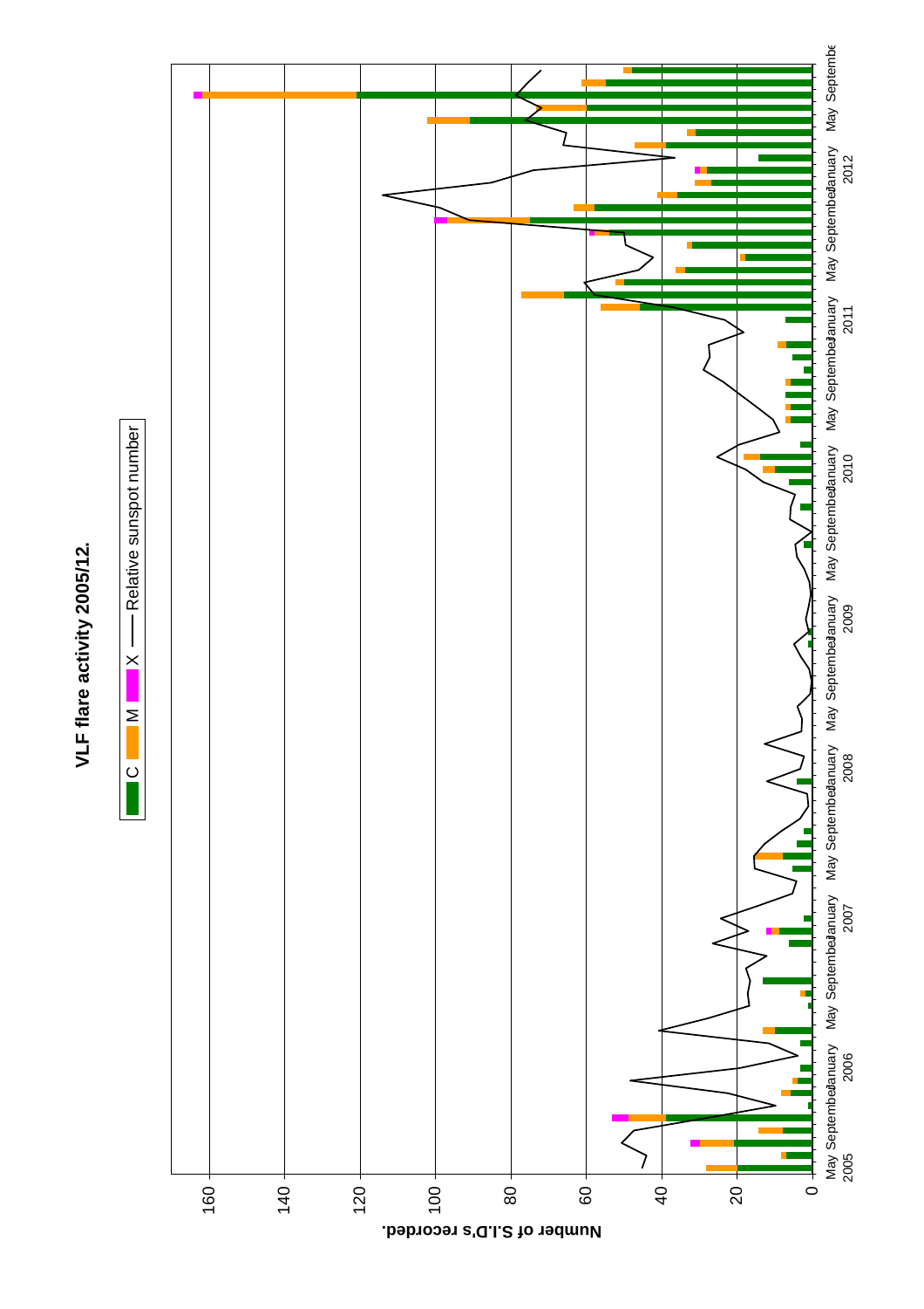

 $\overline{C}$ 

 $\mathsf{C} \qquad \blacksquare \mathsf{M} \qquad \blacksquare \mathsf{X} \longrightarrow \mathsf{Relative}$  sunspot number

 $\times$ 

 $\geq$ 

- Relative sunspot number



**Number of S.I.D's recorded.**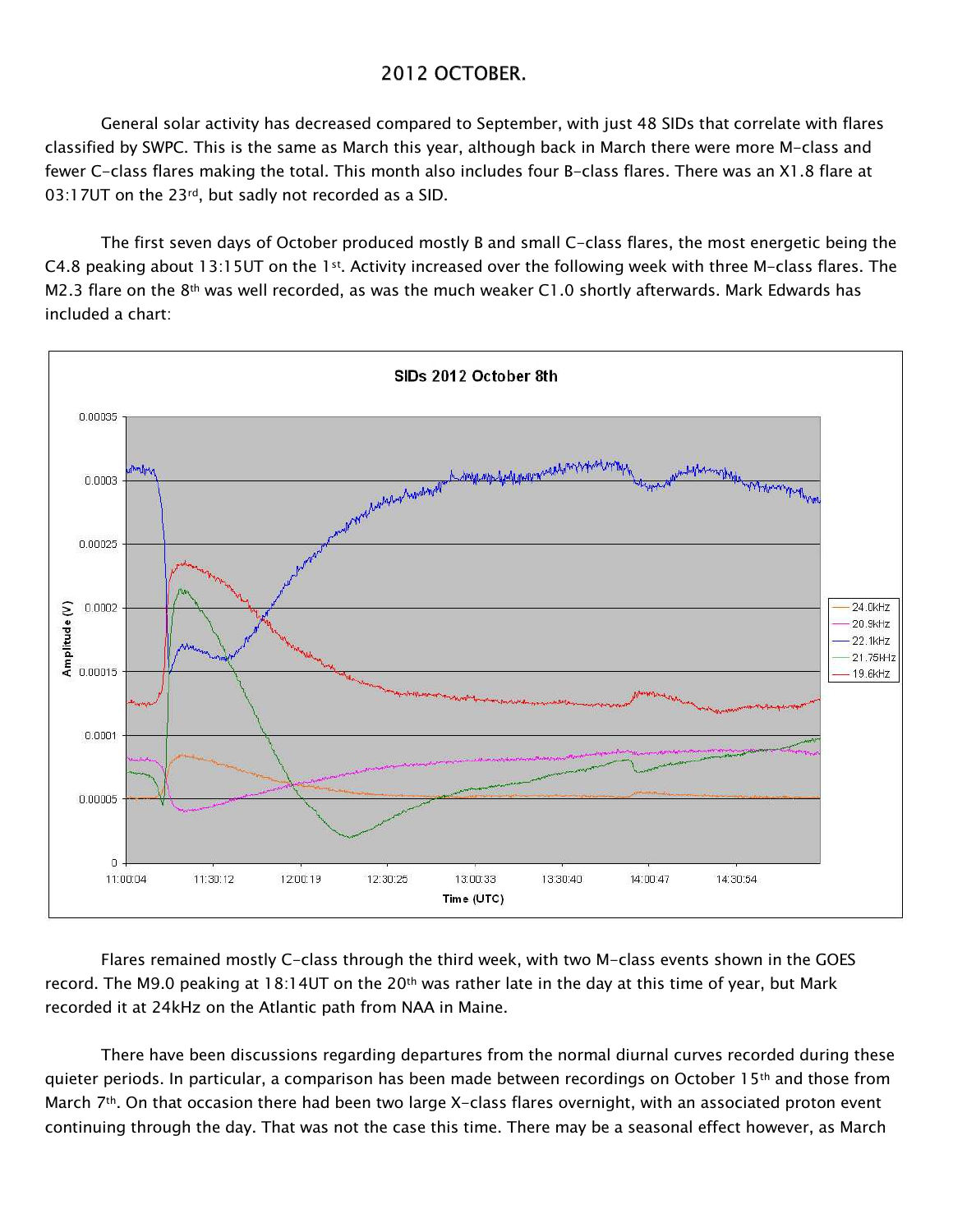## 2012 OCTOBER.

General solar activity has decreased compared to September, with just 48 SIDs that correlate with flares classified by SWPC. This is the same as March this year, although back in March there were more M-class and fewer C-class flares making the total. This month also includes four B-class flares. There was an X1.8 flare at 03:17UT on the 23rd, but sadly not recorded as a SID.

The first seven days of October produced mostly B and small C-class flares, the most energetic being the C4.8 peaking about 13:15UT on the 1st. Activity increased over the following week with three M-class flares. The M2.3 flare on the 8<sup>th</sup> was well recorded, as was the much weaker C1.0 shortly afterwards. Mark Edwards has included a chart:



Flares remained mostly C-class through the third week, with two M-class events shown in the GOES record. The M9.0 peaking at 18:14UT on the 20<sup>th</sup> was rather late in the day at this time of year, but Mark recorded it at 24kHz on the Atlantic path from NAA in Maine.

There have been discussions regarding departures from the normal diurnal curves recorded during these quieter periods. In particular, a comparison has been made between recordings on October 15<sup>th</sup> and those from March 7th. On that occasion there had been two large X-class flares overnight, with an associated proton event continuing through the day. That was not the case this time. There may be a seasonal effect however, as March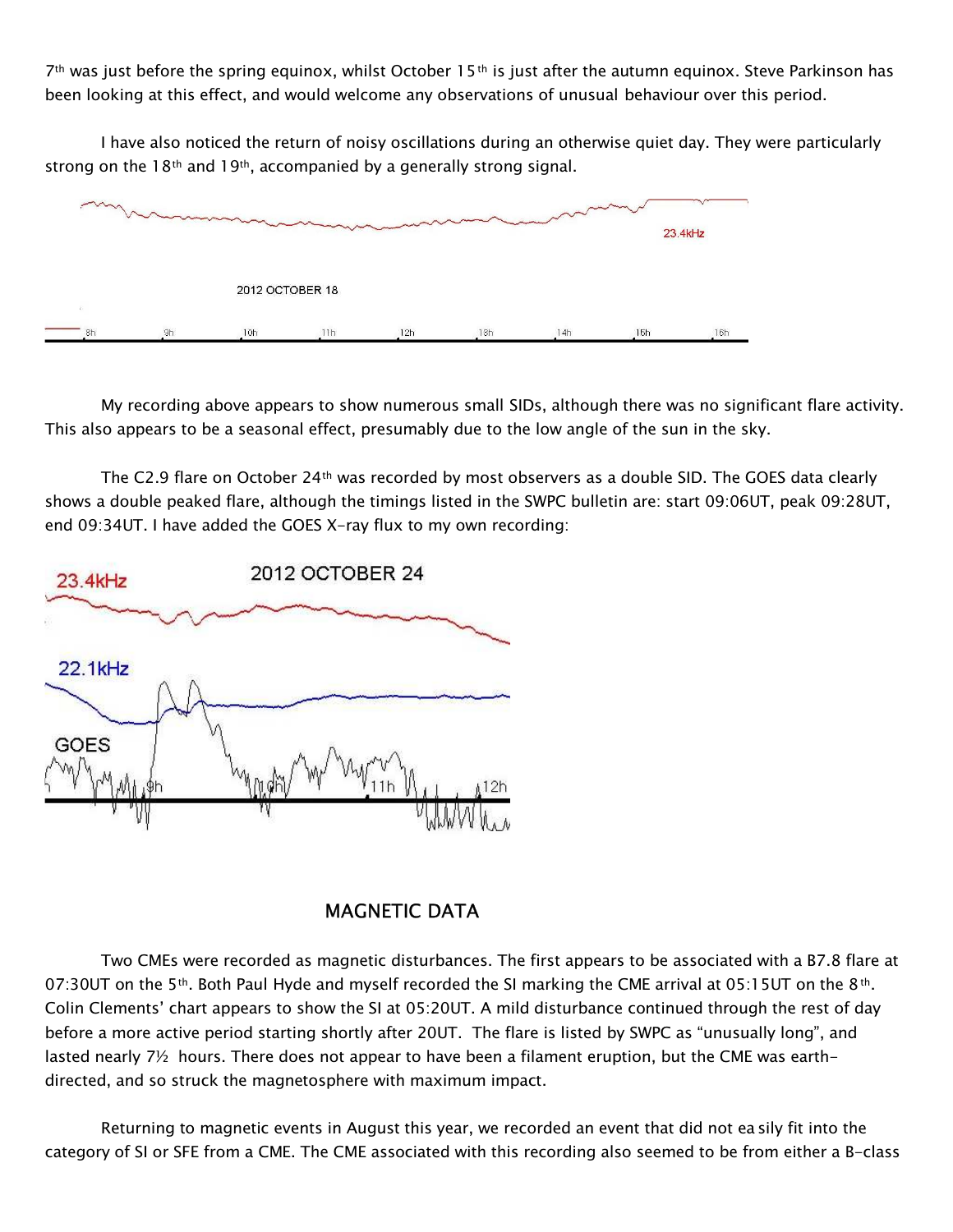$7<sup>th</sup>$  was just before the spring equinox, whilst October 15<sup>th</sup> is just after the autumn equinox. Steve Parkinson has been looking at this effect, and would welcome any observations of unusual behaviour over this period.

I have also noticed the return of noisy oscillations during an otherwise quiet day. They were particularly strong on the  $18<sup>th</sup>$  and  $19<sup>th</sup>$ , accompanied by a generally strong signal.



My recording above appears to show numerous small SIDs, although there was no significant flare activity. This also appears to be a seasonal effect, presumably due to the low angle of the sun in the sky.

The C2.9 flare on October  $24$ <sup>th</sup> was recorded by most observers as a double SID. The GOES data clearly shows a double peaked flare, although the timings listed in the SWPC bulletin are: start 09:06UT, peak 09:28UT, end 09:34UT. I have added the GOES X-ray flux to my own recording:



## **MAGNETIC DATA**

Two CMEs were recorded as magnetic disturbances. The first appears to be associated with a B7.8 flare at 07:30UT on the 5<sup>th</sup>. Both Paul Hyde and myself recorded the SI marking the CME arrival at 05:15UT on the 8<sup>th</sup>. Colin Clements' chart appears to show the SI at 05:20UT. A mild disturbance continued through the rest of day before a more active period starting shortly after 20UT. The flare is listed by SWPC as "unusually long", and lasted nearly  $7\frac{1}{2}$  hours. There does not appear to have been a filament eruption, but the CME was earthdirected, and so struck the magnetosphere with maximum impact.

Returning to magnetic events in August this year, we recorded an event that did not easily fit into the category of SI or SFE from a CME. The CME associated with this recording also seemed to be from either a B-class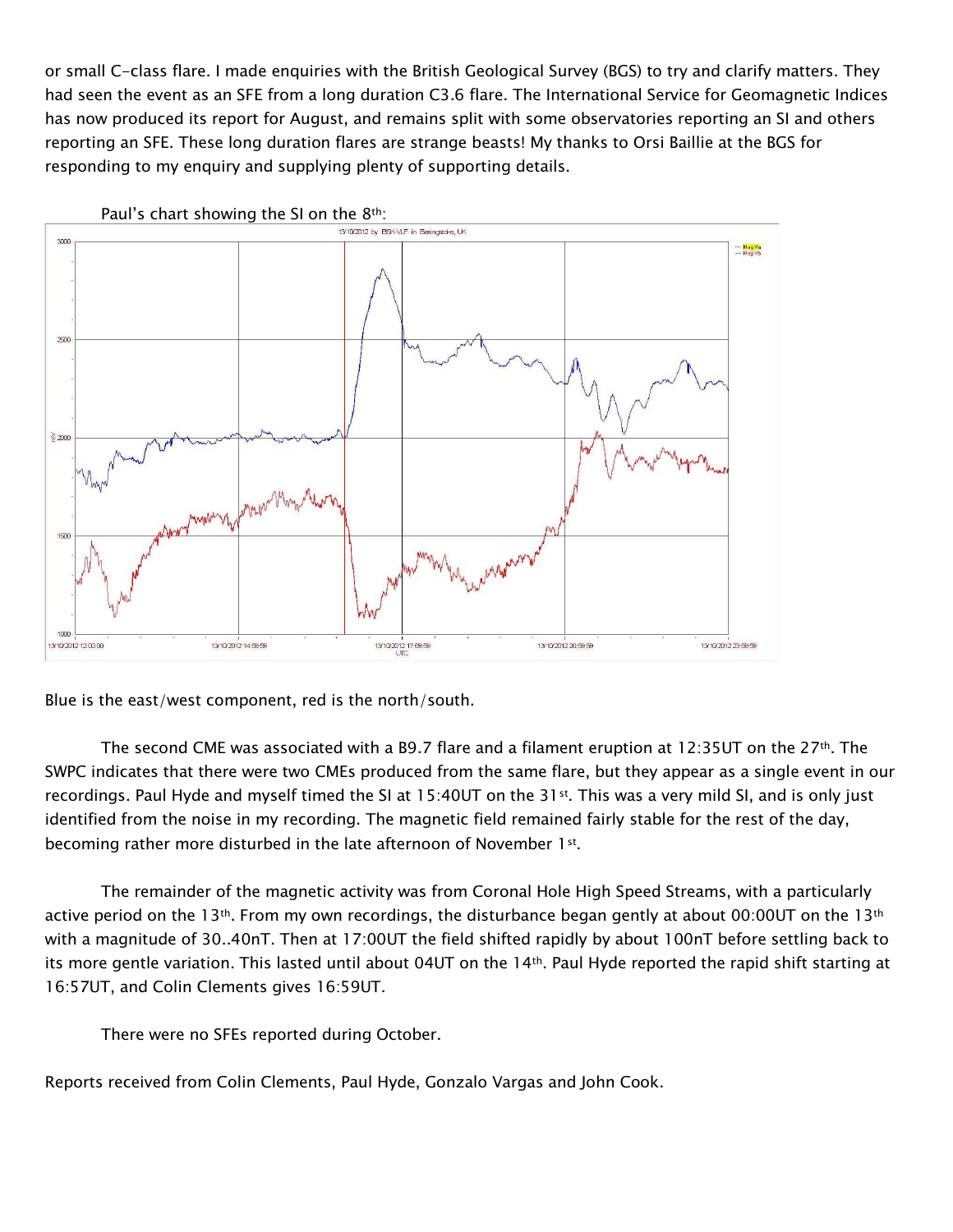or small C-class flare. I made enguiries with the British Geological Survey (BGS) to try and clarify matters. They had seen the event as an SFE from a long duration C3.6 flare. The International Service for Geomagnetic Indices has now produced its report for August, and remains split with some observatories reporting an SI and others reporting an SFE. These long duration flares are strange beasts! My thanks to Orsi Baillie at the BGS for responding to my enquiry and supplying plenty of supporting details.



Paul's chart showing the SI on the 8th:

Blue is the east/west component, red is the north/south.

The second CME was associated with a B9.7 flare and a filament eruption at 12:35 UT on the 27<sup>th</sup>. The SWPC indicates that there were two CMEs produced from the same flare, but they appear as a single event in our recordings. Paul Hyde and myself timed the SI at 15:40UT on the 31st. This was a very mild SI, and is only just identified from the noise in my recording. The magnetic field remained fairly stable for the rest of the day, becoming rather more disturbed in the late afternoon of November 1st.

The remainder of the magnetic activity was from Coronal Hole High Speed Streams, with a particularly active period on the 13<sup>th</sup>. From my own recordings, the disturbance began gently at about 00:00UT on the 13<sup>th</sup> with a magnitude of 30..40nT. Then at 17:00UT the field shifted rapidly by about 100nT before settling back to its more gentle variation. This lasted until about 04UT on the 14th. Paul Hyde reported the rapid shift starting at 16:57UT, and Colin Clements gives 16:59UT.

There were no SFEs reported during October.

Reports received from Colin Clements, Paul Hyde, Gonzalo Vargas and John Cook.